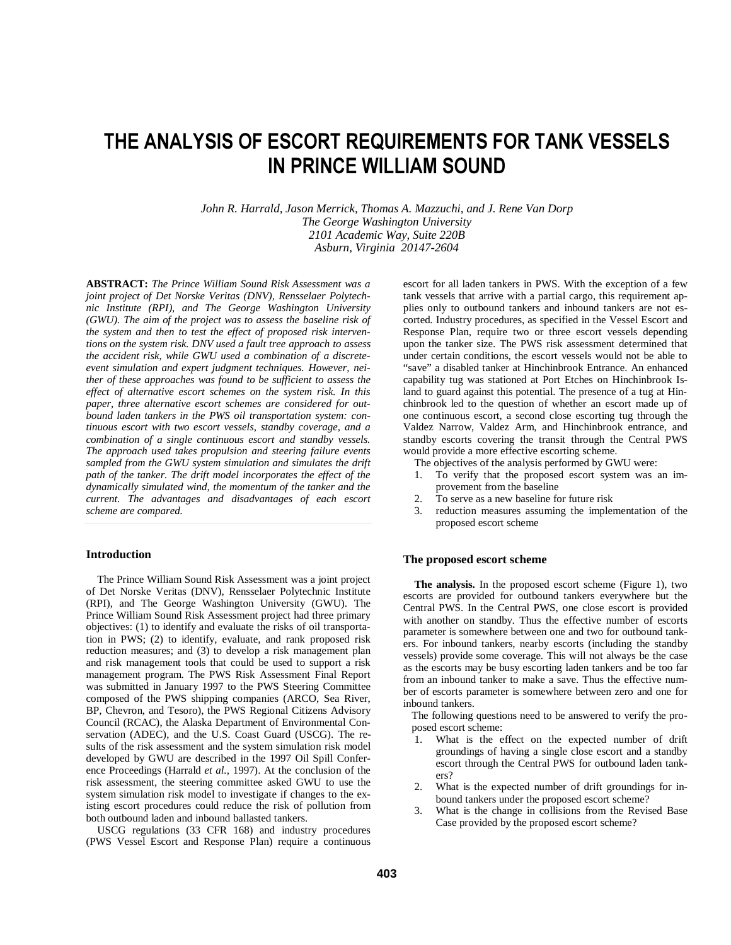# **THE ANALYSIS OF ESCORT REQUIREMENTS FOR TANK VESSELS IN PRINCE WILLIAM SOUND**

*John R. Harrald, Jason Merrick, Thomas A. Mazzuchi, and J. Rene Van Dorp The George Washington University 2101 Academic Way, Suite 220B Asburn, Virginia 20147-2604*

**ABSTRACT:** *The Prince William Sound Risk Assessment was a joint project of Det Norske Veritas (DNV), Rensselaer Polytechnic Institute (RPI), and The George Washington University (GWU). The aim of the project was to assess the baseline risk of the system and then to test the effect of proposed risk interventions on the system risk. DNV used a fault tree approach to assess the accident risk, while GWU used a combination of a discreteevent simulation and expert judgment techniques. However, neither of these approaches was found to be sufficient to assess the effect of alternative escort schemes on the system risk. In this paper, three alternative escort schemes are considered for outbound laden tankers in the PWS oil transportation system: continuous escort with two escort vessels, standby coverage, and a combination of a single continuous escort and standby vessels. The approach used takes propulsion and steering failure events sampled from the GWU system simulation and simulates the drift path of the tanker. The drift model incorporates the effect of the dynamically simulated wind, the momentum of the tanker and the current. The advantages and disadvantages of each escort scheme are compared.*

### **Introduction**

The Prince William Sound Risk Assessment was a joint project of Det Norske Veritas (DNV), Rensselaer Polytechnic Institute (RPI), and The George Washington University (GWU). The Prince William Sound Risk Assessment project had three primary objectives: (1) to identify and evaluate the risks of oil transportation in PWS; (2) to identify, evaluate, and rank proposed risk reduction measures; and (3) to develop a risk management plan and risk management tools that could be used to support a risk management program. The PWS Risk Assessment Final Report was submitted in January 1997 to the PWS Steering Committee composed of the PWS shipping companies (ARCO, Sea River, BP, Chevron, and Tesoro), the PWS Regional Citizens Advisory Council (RCAC), the Alaska Department of Environmental Conservation (ADEC), and the U.S. Coast Guard (USCG). The results of the risk assessment and the system simulation risk model developed by GWU are described in the 1997 Oil Spill Conference Proceedings (Harrald *et al.*, 1997). At the conclusion of the risk assessment, the steering committee asked GWU to use the system simulation risk model to investigate if changes to the existing escort procedures could reduce the risk of pollution from both outbound laden and inbound ballasted tankers.

USCG regulations (33 CFR 168) and industry procedures (PWS Vessel Escort and Response Plan) require a continuous escort for all laden tankers in PWS. With the exception of a few tank vessels that arrive with a partial cargo, this requirement applies only to outbound tankers and inbound tankers are not escorted. Industry procedures, as specified in the Vessel Escort and Response Plan, require two or three escort vessels depending upon the tanker size. The PWS risk assessment determined that under certain conditions, the escort vessels would not be able to "save" a disabled tanker at Hinchinbrook Entrance. An enhanced capability tug was stationed at Port Etches on Hinchinbrook Island to guard against this potential. The presence of a tug at Hinchinbrook led to the question of whether an escort made up of one continuous escort, a second close escorting tug through the Valdez Narrow, Valdez Arm, and Hinchinbrook entrance, and standby escorts covering the transit through the Central PWS would provide a more effective escorting scheme.

The objectives of the analysis performed by GWU were:

- 1. To verify that the proposed escort system was an improvement from the baseline
- 2. To serve as a new baseline for future risk<br>3 reduction measures assuming the implement
- reduction measures assuming the implementation of the proposed escort scheme

#### **The proposed escort scheme**

**The analysis.** In the proposed escort scheme (Figure 1), two escorts are provided for outbound tankers everywhere but the Central PWS. In the Central PWS, one close escort is provided with another on standby. Thus the effective number of escorts parameter is somewhere between one and two for outbound tankers. For inbound tankers, nearby escorts (including the standby vessels) provide some coverage. This will not always be the case as the escorts may be busy escorting laden tankers and be too far from an inbound tanker to make a save. Thus the effective number of escorts parameter is somewhere between zero and one for inbound tankers.

The following questions need to be answered to verify the proposed escort scheme:

- 1. What is the effect on the expected number of drift groundings of having a single close escort and a standby escort through the Central PWS for outbound laden tankers?
- 2. What is the expected number of drift groundings for inbound tankers under the proposed escort scheme?
- 3. What is the change in collisions from the Revised Base Case provided by the proposed escort scheme?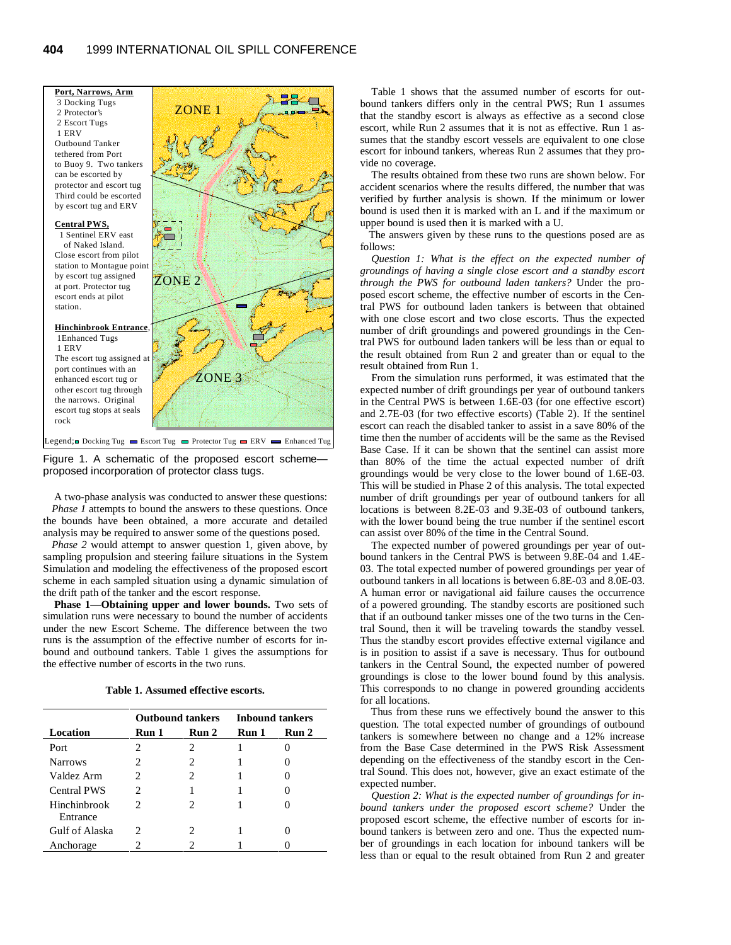

Figure 1. A schematic of the proposed escort scheme proposed incorporation of protector class tugs.

A two-phase analysis was conducted to answer these questions: *Phase 1* attempts to bound the answers to these questions. Once the bounds have been obtained, a more accurate and detailed analysis may be required to answer some of the questions posed.

*Phase 2* would attempt to answer question 1, given above, by sampling propulsion and steering failure situations in the System Simulation and modeling the effectiveness of the proposed escort scheme in each sampled situation using a dynamic simulation of the drift path of the tanker and the escort response.

**Phase 1—Obtaining upper and lower bounds.** Two sets of simulation runs were necessary to bound the number of accidents under the new Escort Scheme. The difference between the two runs is the assumption of the effective number of escorts for inbound and outbound tankers. Table 1 gives the assumptions for the effective number of escorts in the two runs.

| Table 1. Assumed effective escorts. |  |
|-------------------------------------|--|
|-------------------------------------|--|

|                          | <b>Outbound tankers</b>     |                                                                                                                                                                 | <b>Inbound tankers</b> |       |  |
|--------------------------|-----------------------------|-----------------------------------------------------------------------------------------------------------------------------------------------------------------|------------------------|-------|--|
| Location                 | Run 1                       | Run 2                                                                                                                                                           | Run 1                  | Run 2 |  |
| Port                     | 2                           | 2                                                                                                                                                               |                        |       |  |
| <b>Narrows</b>           | 2                           | 2                                                                                                                                                               |                        |       |  |
| Valdez Arm               | 2                           | 2                                                                                                                                                               |                        |       |  |
| <b>Central PWS</b>       | $\mathcal{D}_{\mathcal{L}}$ |                                                                                                                                                                 |                        |       |  |
| Hinchinbrook<br>Entrance | 2                           | $\mathcal{D}_{\mathcal{A}}^{\mathcal{A}}(\mathcal{A})=\mathcal{D}_{\mathcal{A}}^{\mathcal{A}}(\mathcal{A})\mathcal{D}_{\mathcal{A}}^{\mathcal{A}}(\mathcal{A})$ |                        |       |  |
| Gulf of Alaska           | 2                           | 2                                                                                                                                                               |                        |       |  |
| Anchorage                |                             |                                                                                                                                                                 |                        |       |  |

Table 1 shows that the assumed number of escorts for outbound tankers differs only in the central PWS; Run 1 assumes that the standby escort is always as effective as a second close escort, while Run 2 assumes that it is not as effective. Run 1 assumes that the standby escort vessels are equivalent to one close escort for inbound tankers, whereas Run 2 assumes that they provide no coverage.

The results obtained from these two runs are shown below. For accident scenarios where the results differed, the number that was verified by further analysis is shown. If the minimum or lower bound is used then it is marked with an L and if the maximum or upper bound is used then it is marked with a U.

The answers given by these runs to the questions posed are as follows:

*Question 1: What is the effect on the expected number of groundings of having a single close escort and a standby escort through the PWS for outbound laden tankers?* Under the proposed escort scheme, the effective number of escorts in the Central PWS for outbound laden tankers is between that obtained with one close escort and two close escorts. Thus the expected number of drift groundings and powered groundings in the Central PWS for outbound laden tankers will be less than or equal to the result obtained from Run 2 and greater than or equal to the result obtained from Run 1.

From the simulation runs performed, it was estimated that the expected number of drift groundings per year of outbound tankers in the Central PWS is between 1.6E-03 (for one effective escort) and 2.7E-03 (for two effective escorts) (Table 2). If the sentinel escort can reach the disabled tanker to assist in a save 80% of the time then the number of accidents will be the same as the Revised Base Case. If it can be shown that the sentinel can assist more than 80% of the time the actual expected number of drift groundings would be very close to the lower bound of 1.6E-03. This will be studied in Phase 2 of this analysis. The total expected number of drift groundings per year of outbound tankers for all locations is between 8.2E-03 and 9.3E-03 of outbound tankers, with the lower bound being the true number if the sentinel escort can assist over 80% of the time in the Central Sound.

The expected number of powered groundings per year of outbound tankers in the Central PWS is between 9.8E-04 and 1.4E-03. The total expected number of powered groundings per year of outbound tankers in all locations is between 6.8E-03 and 8.0E-03. A human error or navigational aid failure causes the occurrence of a powered grounding. The standby escorts are positioned such that if an outbound tanker misses one of the two turns in the Central Sound, then it will be traveling towards the standby vessel. Thus the standby escort provides effective external vigilance and is in position to assist if a save is necessary. Thus for outbound tankers in the Central Sound, the expected number of powered groundings is close to the lower bound found by this analysis. This corresponds to no change in powered grounding accidents for all locations.

Thus from these runs we effectively bound the answer to this question. The total expected number of groundings of outbound tankers is somewhere between no change and a 12% increase from the Base Case determined in the PWS Risk Assessment depending on the effectiveness of the standby escort in the Central Sound. This does not, however, give an exact estimate of the expected number.

*Question 2: What is the expected number of groundings for inbound tankers under the proposed escort scheme?* Under the proposed escort scheme, the effective number of escorts for inbound tankers is between zero and one. Thus the expected number of groundings in each location for inbound tankers will be less than or equal to the result obtained from Run 2 and greater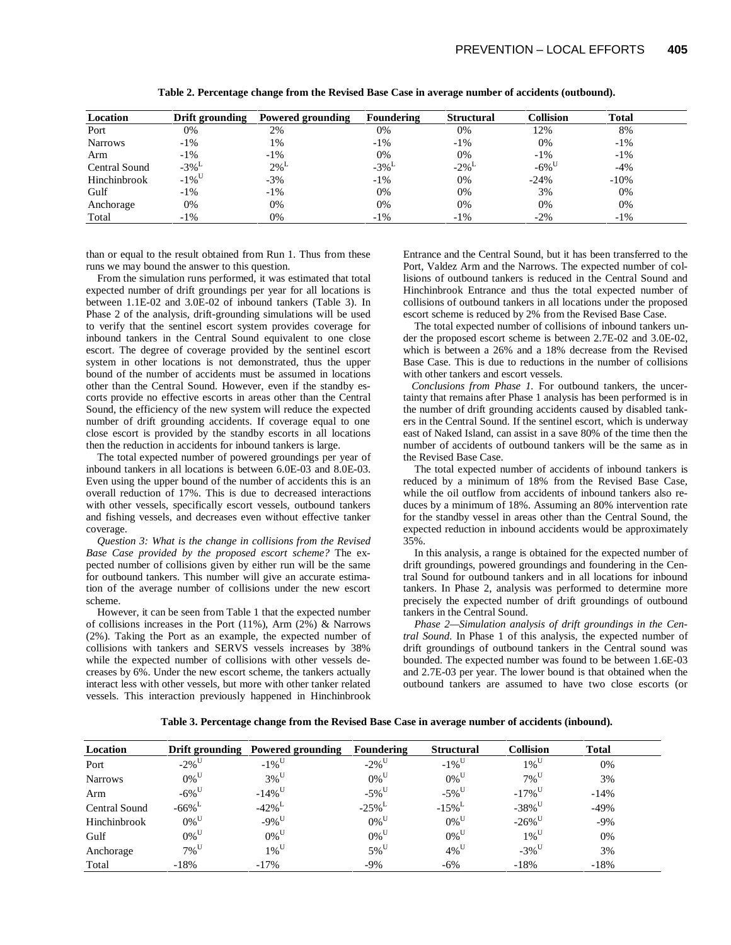| Location             | Drift grounding     | Powered grounding  | <b>Foundering</b>   | <b>Structural</b> | <b>Collision</b>    | <b>Total</b> |  |
|----------------------|---------------------|--------------------|---------------------|-------------------|---------------------|--------------|--|
| Port                 | 0%                  | 2%                 | 0%                  | 0%                | 12%                 | 8%           |  |
| <b>Narrows</b>       | $-1\%$              | 1%                 | $-1\%$              | -1%               | 0%                  | $-1\%$       |  |
| Arm                  | $-1\%$              | $-1\%$             | 0%                  | 0%                | $-1\%$              | $-1\%$       |  |
| <b>Central Sound</b> | $-3\%$ <sup>L</sup> | $2\%$ <sup>L</sup> | $-3\%$ <sup>L</sup> | $-2\%$            | $-6\%$ <sup>U</sup> | $-4%$        |  |
| Hinchinbrook         | $-1\%$ <sup>U</sup> | $-3%$              | $-1\%$              | 0%                | $-24%$              | $-10%$       |  |
| Gulf                 | $-1\%$              | $-1\%$             | 0%                  | 0%                | 3%                  | 0%           |  |
| Anchorage            | 0%                  | 0%                 | 0%                  | 0%                | 0%                  | 0%           |  |
| Total                | $-1\%$              | 0%                 | $-1\%$              | -1%               | $-2\%$              | $-1\%$       |  |

**Table 2. Percentage change from the Revised Base Case in average number of accidents (outbound).**

than or equal to the result obtained from Run 1. Thus from these runs we may bound the answer to this question.

From the simulation runs performed, it was estimated that total expected number of drift groundings per year for all locations is between 1.1E-02 and 3.0E-02 of inbound tankers (Table 3). In Phase 2 of the analysis, drift-grounding simulations will be used to verify that the sentinel escort system provides coverage for inbound tankers in the Central Sound equivalent to one close escort. The degree of coverage provided by the sentinel escort system in other locations is not demonstrated, thus the upper bound of the number of accidents must be assumed in locations other than the Central Sound. However, even if the standby escorts provide no effective escorts in areas other than the Central Sound, the efficiency of the new system will reduce the expected number of drift grounding accidents. If coverage equal to one close escort is provided by the standby escorts in all locations then the reduction in accidents for inbound tankers is large.

The total expected number of powered groundings per year of inbound tankers in all locations is between 6.0E-03 and 8.0E-03. Even using the upper bound of the number of accidents this is an overall reduction of 17%. This is due to decreased interactions with other vessels, specifically escort vessels, outbound tankers and fishing vessels, and decreases even without effective tanker coverage.

*Question 3: What is the change in collisions from the Revised Base Case provided by the proposed escort scheme?* The expected number of collisions given by either run will be the same for outbound tankers. This number will give an accurate estimation of the average number of collisions under the new escort scheme.

However, it can be seen from Table 1 that the expected number of collisions increases in the Port (11%), Arm (2%) & Narrows (2%). Taking the Port as an example, the expected number of collisions with tankers and SERVS vessels increases by 38% while the expected number of collisions with other vessels decreases by 6%. Under the new escort scheme, the tankers actually interact less with other vessels, but more with other tanker related vessels. This interaction previously happened in Hinchinbrook

Entrance and the Central Sound, but it has been transferred to the Port, Valdez Arm and the Narrows. The expected number of collisions of outbound tankers is reduced in the Central Sound and Hinchinbrook Entrance and thus the total expected number of collisions of outbound tankers in all locations under the proposed escort scheme is reduced by 2% from the Revised Base Case.

The total expected number of collisions of inbound tankers under the proposed escort scheme is between 2.7E-02 and 3.0E-02, which is between a 26% and a 18% decrease from the Revised Base Case. This is due to reductions in the number of collisions with other tankers and escort vessels.

*Conclusions from Phase 1.* For outbound tankers, the uncertainty that remains after Phase 1 analysis has been performed is in the number of drift grounding accidents caused by disabled tankers in the Central Sound. If the sentinel escort, which is underway east of Naked Island, can assist in a save 80% of the time then the number of accidents of outbound tankers will be the same as in the Revised Base Case.

The total expected number of accidents of inbound tankers is reduced by a minimum of 18% from the Revised Base Case, while the oil outflow from accidents of inbound tankers also reduces by a minimum of 18%. Assuming an 80% intervention rate for the standby vessel in areas other than the Central Sound, the expected reduction in inbound accidents would be approximately 35%.

In this analysis, a range is obtained for the expected number of drift groundings, powered groundings and foundering in the Central Sound for outbound tankers and in all locations for inbound tankers. In Phase 2, analysis was performed to determine more precisely the expected number of drift groundings of outbound tankers in the Central Sound.

*Phase 2—Simulation analysis of drift groundings in the Central Sound.* In Phase 1 of this analysis, the expected number of drift groundings of outbound tankers in the Central sound was bounded. The expected number was found to be between 1.6E-03 and 2.7E-03 per year. The lower bound is that obtained when the outbound tankers are assumed to have two close escorts (or

**Table 3. Percentage change from the Revised Base Case in average number of accidents (inbound).**

| Location       |                      | Drift grounding Powered grounding | <b>Foundering</b>    | <b>Structural</b>   | <b>Collision</b>     | <b>Total</b> |  |
|----------------|----------------------|-----------------------------------|----------------------|---------------------|----------------------|--------------|--|
| Port           | $-2\%$ <sup>U</sup>  | $-1\%$ <sup>U</sup>               | $-2\%$ <sup>U</sup>  | $-1\%$ <sup>U</sup> | $1\%$ <sup>U</sup>   | 0%           |  |
| <b>Narrows</b> | $0\%$ <sup>U</sup>   | $3\%$ <sup>U</sup>                | $0\%$ <sup>U</sup>   | $0\%$ <sup>U</sup>  | $7\%$ <sup>U</sup>   | 3%           |  |
| Arm            | $-6\%$ <sup>U</sup>  | $-14\%$ <sup>U</sup>              | $-5\%$ <sup>U</sup>  | $-5\%$ <sup>U</sup> | $-17\%$ <sup>U</sup> | $-14%$       |  |
| Central Sound  | $-66\%$ <sup>L</sup> | $-42\%$ <sup>L</sup>              | $-25\%$ <sup>L</sup> | $-15\%$             | $-38\%$ <sup>U</sup> | $-49%$       |  |
| Hinchinbrook   | $0\%$ <sup>U</sup>   | $-9\%$ <sup>U</sup>               | $0\%$ <sup>U</sup>   | $0\%$ <sup>U</sup>  | $-26\%$ <sup>U</sup> | $-9\%$       |  |
| Gulf           | $0\%$ <sup>U</sup>   | $0\%$ <sup>U</sup>                | $0\%$ <sup>U</sup>   | $0\%$ <sup>U</sup>  | $1\%$ <sup>U</sup>   | 0%           |  |
| Anchorage      | $7\%$ <sup>U</sup>   | $1\%$ <sup>U</sup>                | $5\%$ <sup>U</sup>   | $4\%$ <sup>U</sup>  | $-3\%$ <sup>U</sup>  | 3%           |  |
| Total          | $-18%$               | $-17%$                            | $-9\%$               | $-6\%$              | $-18%$               | $-18%$       |  |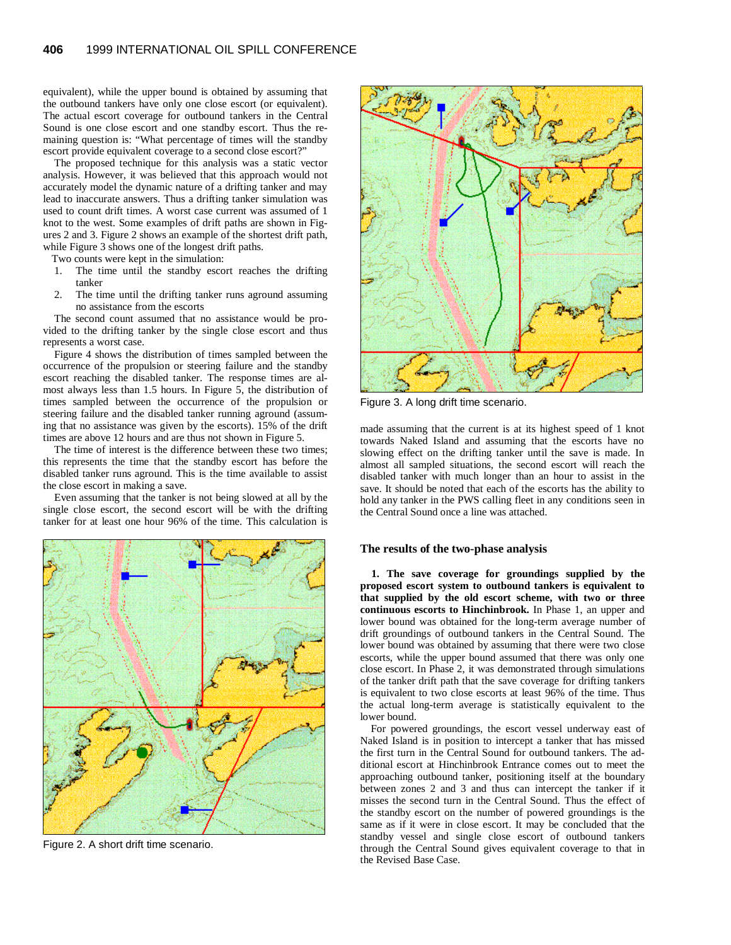equivalent), while the upper bound is obtained by assuming that the outbound tankers have only one close escort (or equivalent). The actual escort coverage for outbound tankers in the Central Sound is one close escort and one standby escort. Thus the remaining question is: "What percentage of times will the standby escort provide equivalent coverage to a second close escort?"

The proposed technique for this analysis was a static vector analysis. However, it was believed that this approach would not accurately model the dynamic nature of a drifting tanker and may lead to inaccurate answers. Thus a drifting tanker simulation was used to count drift times. A worst case current was assumed of 1 knot to the west. Some examples of drift paths are shown in Figures 2 and 3. Figure 2 shows an example of the shortest drift path, while Figure 3 shows one of the longest drift paths.

Two counts were kept in the simulation:

- 1. The time until the standby escort reaches the drifting tanker
- 2. The time until the drifting tanker runs aground assuming no assistance from the escorts

The second count assumed that no assistance would be provided to the drifting tanker by the single close escort and thus represents a worst case.

Figure 4 shows the distribution of times sampled between the occurrence of the propulsion or steering failure and the standby escort reaching the disabled tanker. The response times are almost always less than 1.5 hours. In Figure 5, the distribution of times sampled between the occurrence of the propulsion or steering failure and the disabled tanker running aground (assuming that no assistance was given by the escorts). 15% of the drift times are above 12 hours and are thus not shown in Figure 5.

The time of interest is the difference between these two times; this represents the time that the standby escort has before the disabled tanker runs aground. This is the time available to assist the close escort in making a save.

Even assuming that the tanker is not being slowed at all by the single close escort, the second escort will be with the drifting tanker for at least one hour 96% of the time. This calculation is



Figure 2. A short drift time scenario.



Figure 3. A long drift time scenario.

made assuming that the current is at its highest speed of 1 knot towards Naked Island and assuming that the escorts have no slowing effect on the drifting tanker until the save is made. In almost all sampled situations, the second escort will reach the disabled tanker with much longer than an hour to assist in the save. It should be noted that each of the escorts has the ability to hold any tanker in the PWS calling fleet in any conditions seen in the Central Sound once a line was attached.

### **The results of the two-phase analysis**

**1. The save coverage for groundings supplied by the proposed escort system to outbound tankers is equivalent to that supplied by the old escort scheme, with two or three continuous escorts to Hinchinbrook.** In Phase 1, an upper and lower bound was obtained for the long-term average number of drift groundings of outbound tankers in the Central Sound. The lower bound was obtained by assuming that there were two close escorts, while the upper bound assumed that there was only one close escort. In Phase 2, it was demonstrated through simulations of the tanker drift path that the save coverage for drifting tankers is equivalent to two close escorts at least 96% of the time. Thus the actual long-term average is statistically equivalent to the lower bound.

For powered groundings, the escort vessel underway east of Naked Island is in position to intercept a tanker that has missed the first turn in the Central Sound for outbound tankers. The additional escort at Hinchinbrook Entrance comes out to meet the approaching outbound tanker, positioning itself at the boundary between zones 2 and 3 and thus can intercept the tanker if it misses the second turn in the Central Sound. Thus the effect of the standby escort on the number of powered groundings is the same as if it were in close escort. It may be concluded that the standby vessel and single close escort of outbound tankers through the Central Sound gives equivalent coverage to that in the Revised Base Case.